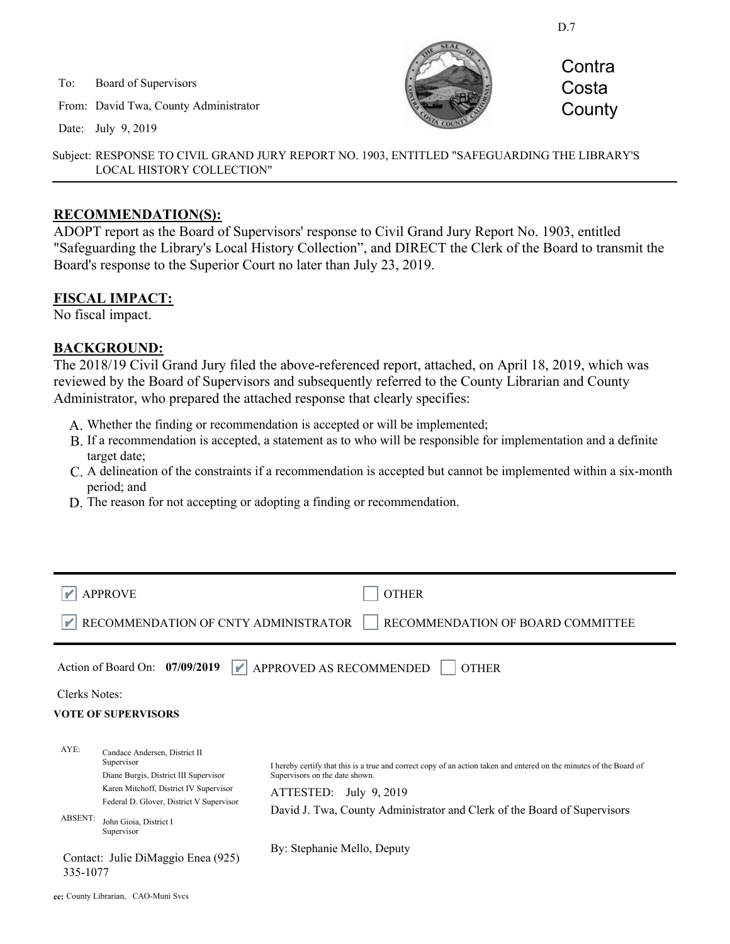D.7

To: Board of Supervisors

From: David Twa, County Administrator

Date: July 9, 2019



**Contra Costa County** 

Subject: RESPONSE TO CIVIL GRAND JURY REPORT NO. 1903, ENTITLED "SAFEGUARDING THE LIBRARY'S LOCAL HISTORY COLLECTION"

### **RECOMMENDATION(S):**

ADOPT report as the Board of Supervisors' response to Civil Grand Jury Report No. 1903, entitled "Safeguarding the Library's Local History Collection", and DIRECT the Clerk of the Board to transmit the Board's response to the Superior Court no later than July 23, 2019.

## **FISCAL IMPACT:**

No fiscal impact.

### **BACKGROUND:**

The 2018/19 Civil Grand Jury filed the above-referenced report, attached, on April 18, 2019, which was reviewed by the Board of Supervisors and subsequently referred to the County Librarian and County Administrator, who prepared the attached response that clearly specifies:

- A. Whether the finding or recommendation is accepted or will be implemented;
- B. If a recommendation is accepted, a statement as to who will be responsible for implementation and a definite target date;
- A delineation of the constraints if a recommendation is accepted but cannot be implemented within a six-month C. period; and
- D. The reason for not accepting or adopting a finding or recommendation.

|                                                                                                                                 | <b>APPROVE</b><br>RECOMMENDATION OF CNTY ADMINISTRATOR                                                                                                                                                             | <b>OTHER</b><br>RECOMMENDATION OF BOARD COMMITTEE                                                                                                                                                                                                           |
|---------------------------------------------------------------------------------------------------------------------------------|--------------------------------------------------------------------------------------------------------------------------------------------------------------------------------------------------------------------|-------------------------------------------------------------------------------------------------------------------------------------------------------------------------------------------------------------------------------------------------------------|
| APPROVED AS RECOMMENDED<br>Action of Board On: $07/09/2019$<br><b>OTHER</b><br>Y<br>Clerks Notes:<br><b>VOTE OF SUPERVISORS</b> |                                                                                                                                                                                                                    |                                                                                                                                                                                                                                                             |
| AYE:<br>ABSENT:                                                                                                                 | Candace Andersen, District II<br>Supervisor<br>Diane Burgis, District III Supervisor<br>Karen Mitchoff, District IV Supervisor<br>Federal D. Glover, District V Supervisor<br>John Gioia, District I<br>Supervisor | I hereby certify that this is a true and correct copy of an action taken and entered on the minutes of the Board of<br>Supervisors on the date shown.<br>ATTESTED: July 9, 2019<br>David J. Twa, County Administrator and Clerk of the Board of Supervisors |
| 335-1077                                                                                                                        | Contact: Julie DiMaggio Enea (925)                                                                                                                                                                                 | By: Stephanie Mello, Deputy                                                                                                                                                                                                                                 |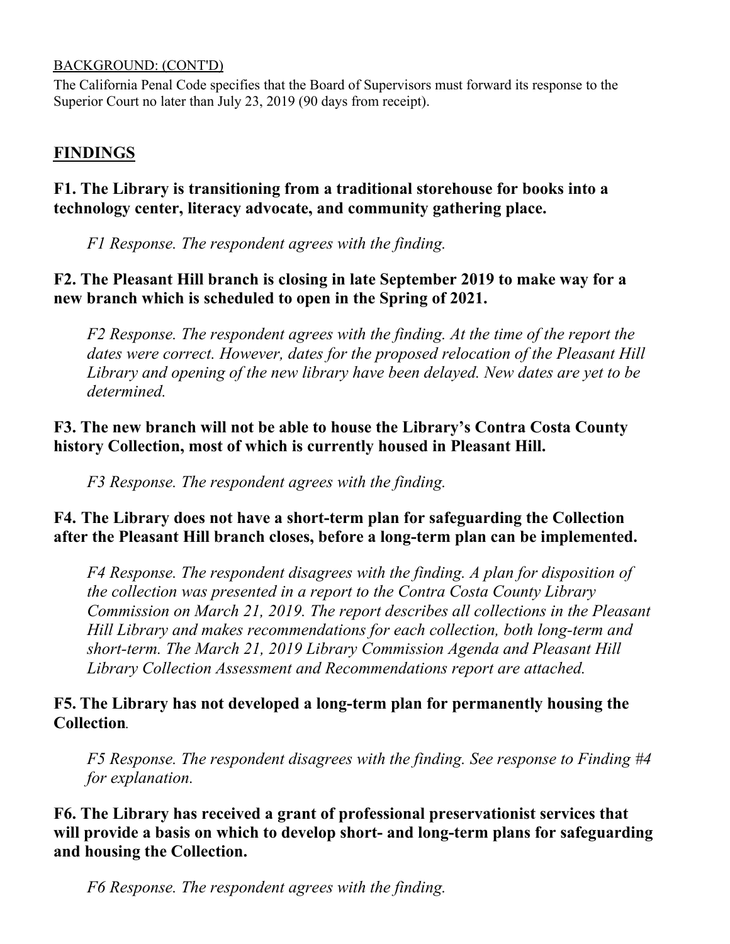## BACKGROUND: (CONT'D)

The California Penal Code specifies that the Board of Supervisors must forward its response to the Superior Court no later than July 23, 2019 (90 days from receipt).

# **FINDINGS**

# **F1. The Library is transitioning from a traditional storehouse for books into a technology center, literacy advocate, and community gathering place.**

*F1 Response. The respondent agrees with the finding.*

# **F2. The Pleasant Hill branch is closing in late September 2019 to make way for a new branch which is scheduled to open in the Spring of 2021.**

*F2 Response. The respondent agrees with the finding. At the time of the report the dates were correct. However, dates for the proposed relocation of the Pleasant Hill Library and opening of the new library have been delayed. New dates are yet to be determined.* 

# **F3. The new branch will not be able to house the Library's Contra Costa County history Collection, most of which is currently housed in Pleasant Hill.**

*F3 Response. The respondent agrees with the finding.* 

# **F4. The Library does not have a short-term plan for safeguarding the Collection after the Pleasant Hill branch closes, before a long-term plan can be implemented.**

*F4 Response. The respondent disagrees with the finding. A plan for disposition of the collection was presented in a report to the Contra Costa County Library Commission on March 21, 2019. The report describes all collections in the Pleasant Hill Library and makes recommendations for each collection, both long-term and short-term. The March 21, 2019 Library Commission Agenda and Pleasant Hill Library Collection Assessment and Recommendations report are attached.*

# **F5. The Library has not developed a long-term plan for permanently housing the Collection**.

*F5 Response. The respondent disagrees with the finding. See response to Finding #4 for explanation.*

# **F6. The Library has received a grant of professional preservationist services that will provide a basis on which to develop short- and long-term plans for safeguarding and housing the Collection.**

*F6 Response. The respondent agrees with the finding.*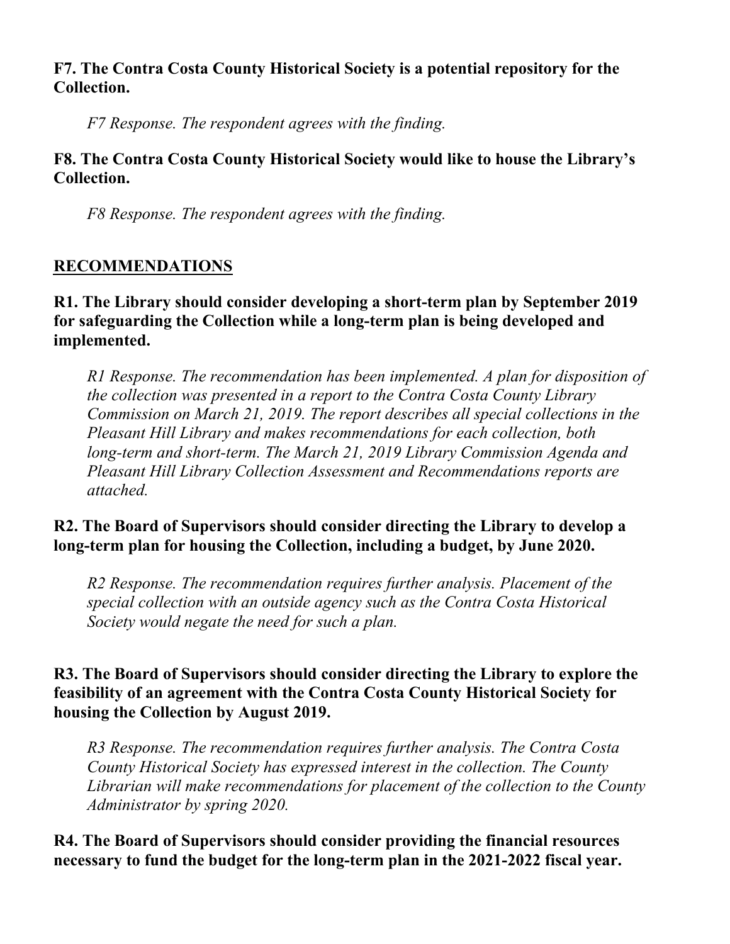# **F7. The Contra Costa County Historical Society is a potential repository for the Collection.**

*F7 Response. The respondent agrees with the finding.* 

# **F8. The Contra Costa County Historical Society would like to house the Library's Collection.**

*F8 Response. The respondent agrees with the finding.* 

# **RECOMMENDATIONS**

# **R1. The Library should consider developing a short-term plan by September 2019 for safeguarding the Collection while a long-term plan is being developed and implemented.**

*R1 Response. The recommendation has been implemented. A plan for disposition of the collection was presented in a report to the Contra Costa County Library Commission on March 21, 2019. The report describes all special collections in the Pleasant Hill Library and makes recommendations for each collection, both long-term and short-term. The March 21, 2019 Library Commission Agenda and Pleasant Hill Library Collection Assessment and Recommendations reports are attached.*

# **R2. The Board of Supervisors should consider directing the Library to develop a long-term plan for housing the Collection, including a budget, by June 2020.**

*R2 Response. The recommendation requires further analysis. Placement of the special collection with an outside agency such as the Contra Costa Historical Society would negate the need for such a plan.* 

# **R3. The Board of Supervisors should consider directing the Library to explore the feasibility of an agreement with the Contra Costa County Historical Society for housing the Collection by August 2019.**

*R3 Response. The recommendation requires further analysis. The Contra Costa County Historical Society has expressed interest in the collection. The County Librarian will make recommendations for placement of the collection to the County Administrator by spring 2020.*

# **R4. The Board of Supervisors should consider providing the financial resources necessary to fund the budget for the long-term plan in the 2021-2022 fiscal year.**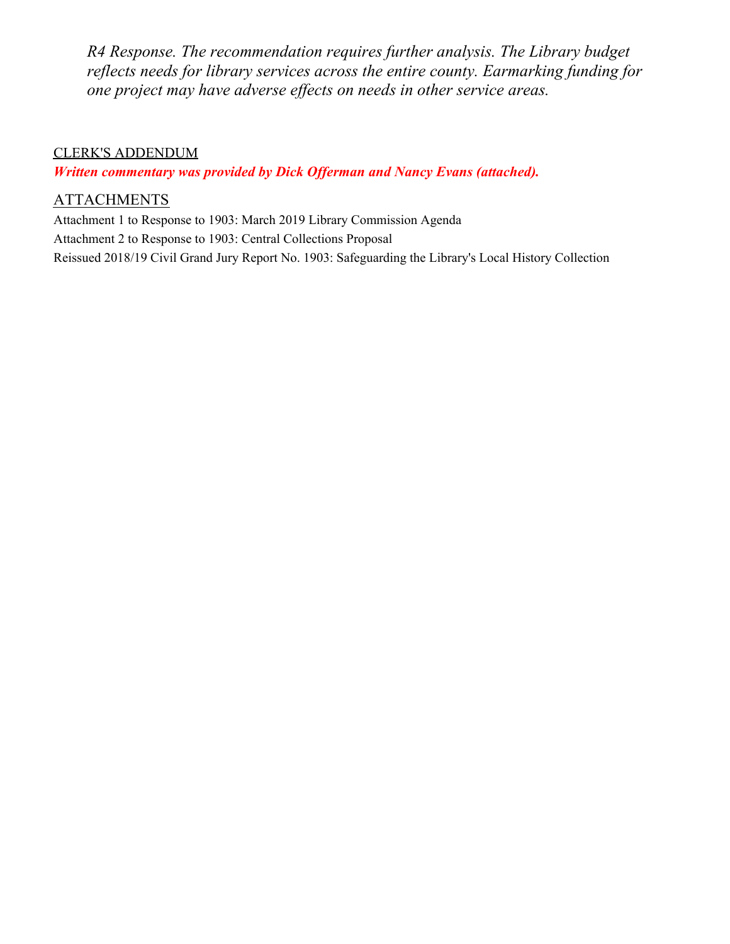*R4 Response. The recommendation requires further analysis. The Library budget reflects needs for library services across the entire county. Earmarking funding for one project may have adverse effects on needs in other service areas.* 

## CLERK'S ADDENDUM

*Written commentary was provided by Dick Offerman and Nancy Evans (attached).* 

## **ATTACHMENTS**

Attachment 1 to Response to 1903: March 2019 Library Commission Agenda Attachment 2 to Response to 1903: Central Collections Proposal Reissued 2018/19 Civil Grand Jury Report No. 1903: Safeguarding the Library's Local History Collection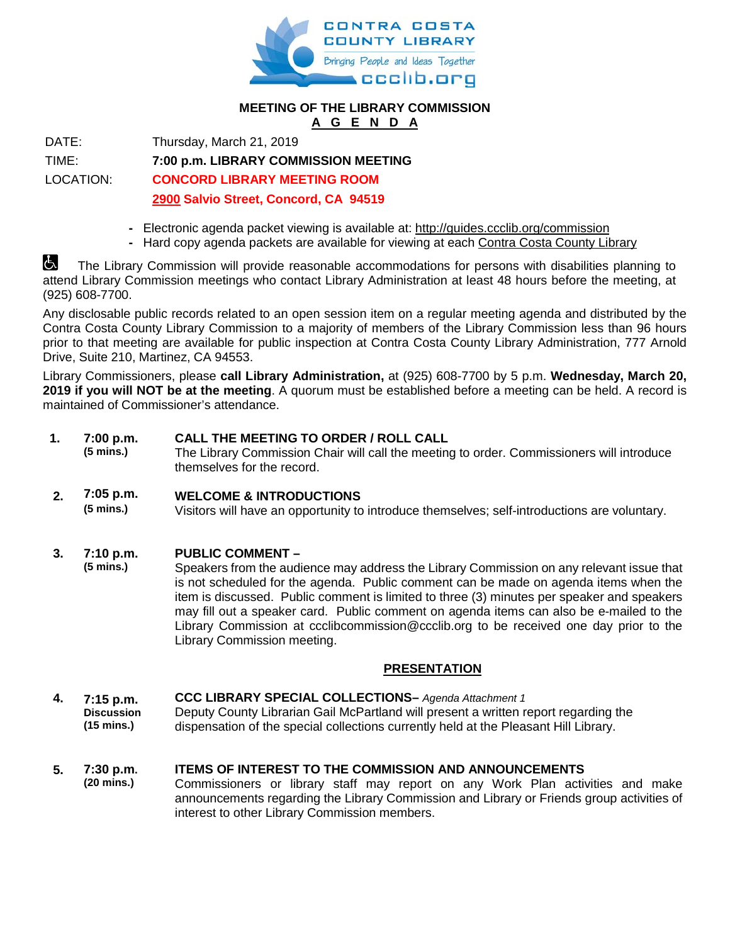

### **MEETING OF THE LIBRARY COMMISSION A G E N D A**

DATE: Thursday, March 21, 2019

TIME: **7:00 p.m. LIBRARY COMMISSION MEETING**

LOCATION: **CONCORD LIBRARY MEETING ROOM**

## **2900 Salvio Street, Concord, CA 94519**

- **-** Electronic agenda packet viewing is available at:<http://guides.ccclib.org/commission>
- **-** Hard copy agenda packets are available for viewing at each [Contra Costa County Library](http://ccclib.org/locations/)

The Library Commission will provide reasonable accommodations for persons with disabilities planning to attend Library Commission meetings who contact Library Administration at least 48 hours before the meeting, at (925) 608-7700.

Any disclosable public records related to an open session item on a regular meeting agenda and distributed by the Contra Costa County Library Commission to a majority of members of the Library Commission less than 96 hours prior to that meeting are available for public inspection at Contra Costa County Library Administration, 777 Arnold Drive, Suite 210, Martinez, CA 94553.

Library Commissioners, please **call Library Administration,** at (925) 608-7700 by 5 p.m. **Wednesday, March 20, 2019 if you will NOT be at the meeting**. A quorum must be established before a meeting can be held. A record is maintained of Commissioner's attendance.

#### **1. 7:00 p.m. CALL THE MEETING TO ORDER / ROLL CALL**

**(5 mins.)** The Library Commission Chair will call the meeting to order. Commissioners will introduce themselves for the record.

#### **2. 7:05 p.m. WELCOME & INTRODUCTIONS**

**(5 mins.)** Visitors will have an opportunity to introduce themselves; self-introductions are voluntary.

#### **3. 7:10 p.m. PUBLIC COMMENT –**

**(5 mins.)** Speakers from the audience may address the Library Commission on any relevant issue that is not scheduled for the agenda. Public comment can be made on agenda items when the item is discussed. Public comment is limited to three (3) minutes per speaker and speakers may fill out a speaker card. Public comment on agenda items can also be e-mailed to the Library Commission at [ccclibcommission@ccclib.org](mailto:ccclibcommission@ccclib.org) to be received one day prior to the Library Commission meeting.

### **PRESENTATION**

- **4. 7:15 p.m. Discussion (15 mins.) CCC LIBRARY SPECIAL COLLECTIONS–** *Agenda Attachment 1* Deputy County Librarian Gail McPartland will present a written report regarding the dispensation of the special collections currently held at the Pleasant Hill Library.
- **5. 7:30 p.m. (20 mins.) ITEMS OF INTEREST TO THE COMMISSION AND ANNOUNCEMENTS** Commissioners or library staff may report on any Work Plan activities and make announcements regarding the Library Commission and Library or Friends group activities of interest to other Library Commission members.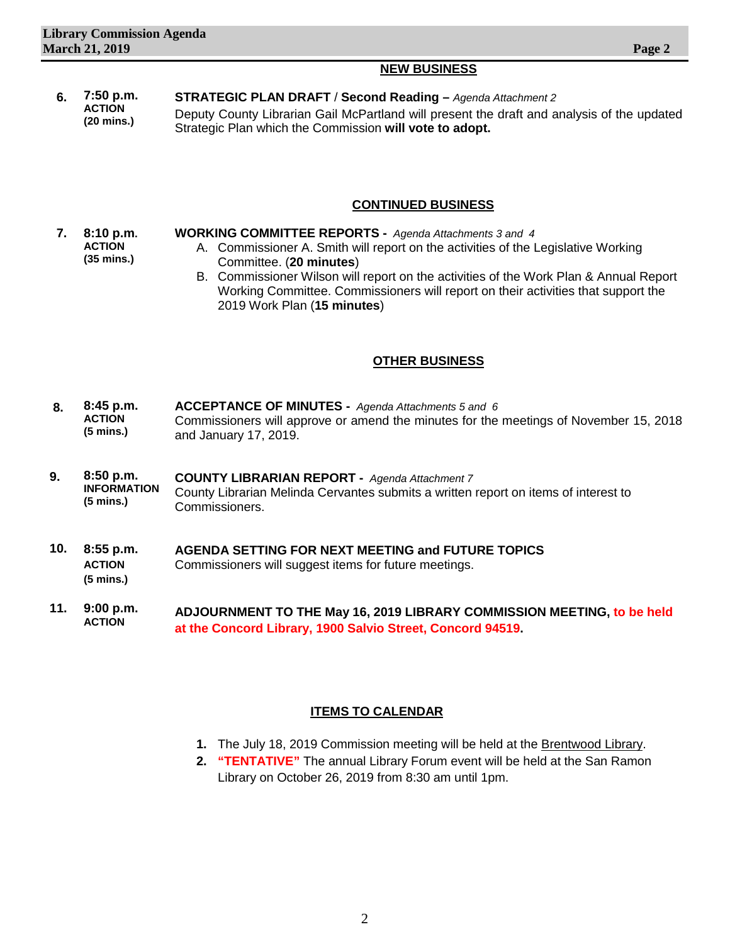### **NEW BUSINESS**

 **6. 7:50 p.m. ACTION (20 mins.) STRATEGIC PLAN DRAFT** / **Second Reading –** *Agenda Attachment 2* Deputy County Librarian Gail McPartland will present the draft and analysis of the updated Strategic Plan which the Commission **will vote to adopt.**

### **CONTINUED BUSINESS**

- **7. 8:10 p.m. ACTION (35 mins.) WORKING COMMITTEE REPORTS -** *Agenda Attachments 3 and 4* A. Commissioner A. Smith will report on the activities of the Legislative Working Committee. (**20 minutes**)
	- B. Commissioner Wilson will report on the activities of the Work Plan & Annual Report Working Committee. Commissioners will report on their activities that support the 2019 Work Plan (**15 minutes**)

### **OTHER BUSINESS**

- **8. 8:45 p.m. ACTION (5 mins.) ACCEPTANCE OF MINUTES -** *Agenda Attachments 5 and 6* Commissioners will approve or amend the minutes for the meetings of November 15, 2018 and January 17, 2019.
- **9. 8:50 p.m. INFORMATION (5 mins.) COUNTY LIBRARIAN REPORT -** *Agenda Attachment 7* County Librarian Melinda Cervantes submits a written report on items of interest to Commissioners.
- **10. 8:55 p.m. ACTION (5 mins.) AGENDA SETTING FOR NEXT MEETING and FUTURE TOPICS** Commissioners will suggest items for future meetings.
- **11. 9:00 p.m. ACTION ADJOURNMENT TO THE May 16, 2019 LIBRARY COMMISSION MEETING, to be held at the Concord Library, 1900 Salvio Street, Concord 94519.**

### **ITEMS TO CALENDAR**

- **1.** The July 18, 2019 Commission meeting will be held at the Brentwood Library.
- **2. "TENTATIVE"** The annual Library Forum event will be held at the San Ramon Library on October 26, 2019 from 8:30 am until 1pm.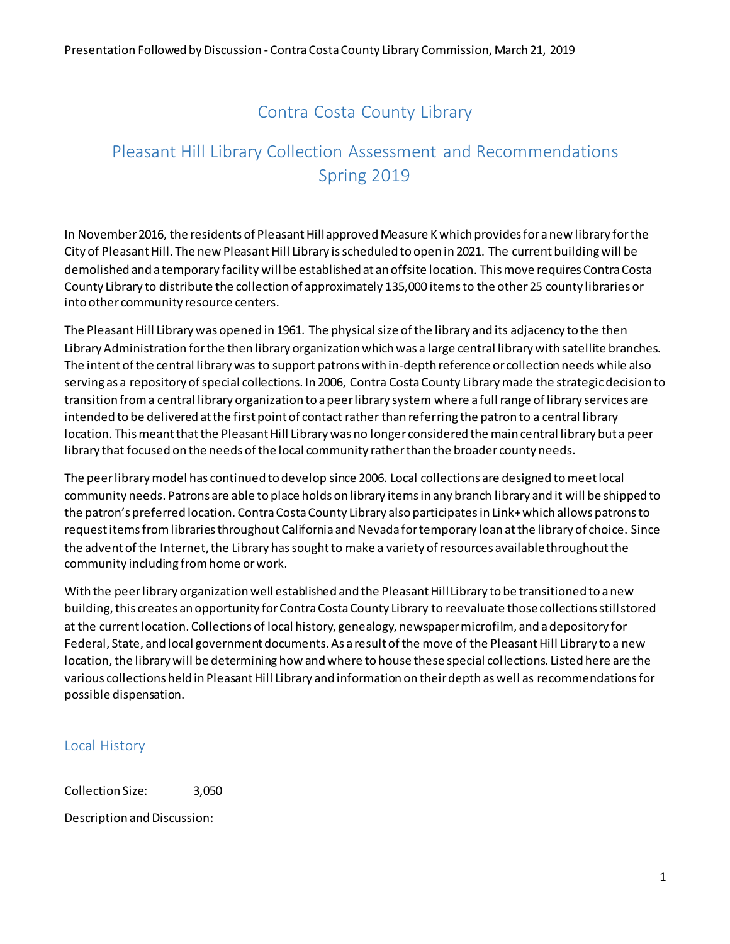# Contra Costa County Library

# Pleasant Hill Library Collection Assessment and Recommendations Spring 2019

In November 2016, the residents of Pleasant Hill approved Measure K which provides for a new library for the City of Pleasant Hill. The new Pleasant Hill Library is scheduled to open in 2021. The current building will be demolished and a temporary facility will be established at an offsite location. This move requires Contra Costa County Library to distribute the collection of approximately 135,000 items to the other 25 county libraries or into other community resource centers.

The Pleasant Hill Library was opened in 1961. The physical size of the library and its adjacency to the then Library Administration for the then library organization which was a large central library with satellite branches. The intent of the central library was to support patrons with in-depth reference or collection needs while also serving as a repository of special collections. In 2006, Contra Costa County Library made the strategic decision to transition from a central library organization to a peer library system where a full range of library services are intended to be delivered at the first point of contact rather than referring the patron to a central library location. This meant that the Pleasant Hill Library was no longer considered the main central library but a peer library that focused on the needs of the local community rather than the broader county needs.

The peer library model has continued to develop since 2006. Local collections are designed to meet local community needs. Patrons are able to place holds on library items in any branch library and it will be shipped to the patron's preferred location. Contra Costa County Library also participates in Link+ which allows patrons to request items from libraries throughout California and Nevada for temporary loan at the library of choice. Since the advent of the Internet, the Library has sought to make a variety of resources available throughout the community including from home or work.

With the peer library organization well established and the Pleasant Hill Library to be transitioned to a new building, this creates an opportunity for Contra Costa County Library to reevaluate those collections still stored at the current location. Collections of local history, genealogy, newspaper microfilm, and a depository for Federal, State, and local government documents. As a result of the move of the Pleasant Hill Library to a new location, the library will be determining how and where to house these special collections. Listed here are the various collections held in Pleasant Hill Library and information on their depth as well as recommendations for possible dispensation.

## Local History

Collection Size: 3,050

Description and Discussion: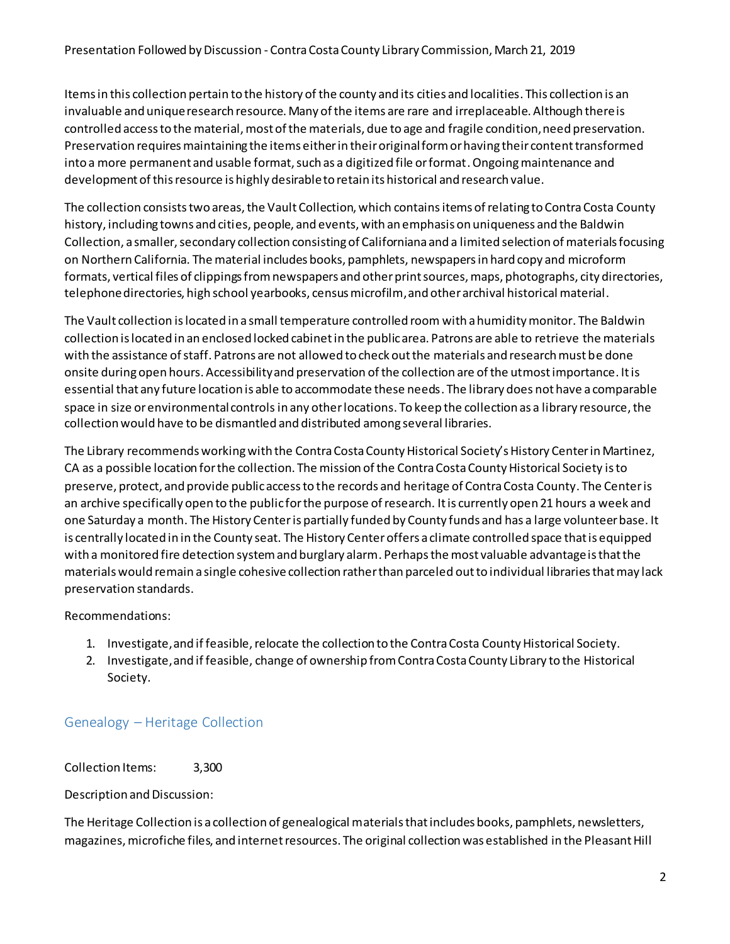Items in this collection pertain to the history of the county and its cities and localities. This collection is an invaluable and unique research resource. Many of the items are rare and irreplaceable. Although there is controlled access to the material, most of the materials, due to age and fragile condition, need preservation. Preservation requires maintaining the items either in their original form or having their content transformed into a more permanent and usable format, such as a digitized file or format. Ongoing maintenance and development of this resource is highly desirable to retain its historical and research value.

The collection consiststwo areas, the Vault Collection, which contains items of relating to Contra Costa County history, including towns and cities, people, and events, with an emphasis on uniqueness and the Baldwin Collection, a smaller, secondary collection consisting of Californiana and a limited selection of materials focusing on Northern California. The material includes books, pamphlets, newspapers in hard copy and microform formats, vertical files of clippings from newspapers and other print sources, maps, photographs, city directories, telephone directories, high school yearbooks, census microfilm, and other archival historical material.

The Vault collection is located in a small temperature controlled room with a humidity monitor. The Baldwin collection is located in an enclosed locked cabinet in the public area. Patrons are able to retrieve the materials with the assistance of staff. Patrons are not allowed to check out the materials and research must be done onsite during open hours. Accessibilityand preservation of the collection are of the utmost importance. It is essential that any future location is able to accommodate these needs. The library does not have a comparable space in size or environmental controlsin any otherlocations. To keep the collection as a library resource, the collection would have to be dismantled and distributed among several libraries.

The Library recommends working with the Contra Costa County Historical Society's History Center in Martinez, CA as a possible location for the collection. The mission of the Contra Costa County Historical Society is to preserve, protect, and provide public access to the records and heritage of Contra Costa County. The Center is an archive specifically open to the public for the purpose of research. It is currently open 21 hours a week and one Saturday a month. The History Centeris partially funded by County funds and has a large volunteer base. It is centrally located in in the County seat. The History Center offers a climate controlled space that is equipped with a monitored fire detection system and burglary alarm. Perhaps the most valuable advantage is that the materials would remain a single cohesive collection rather than parceled out to individual libraries that may lack preservation standards.

## Recommendations:

- 1. Investigate, and if feasible, relocate the collection to the Contra Costa County Historical Society.
- 2. Investigate, and if feasible, change of ownership from Contra Costa County Library to the Historical Society.

## Genealogy – Heritage Collection

Collection Items: 3,300

Description and Discussion:

The Heritage Collection is a collection of genealogical materials that includes books, pamphlets, newsletters, magazines, microfiche files, and internet resources. The original collection was established in the Pleasant Hill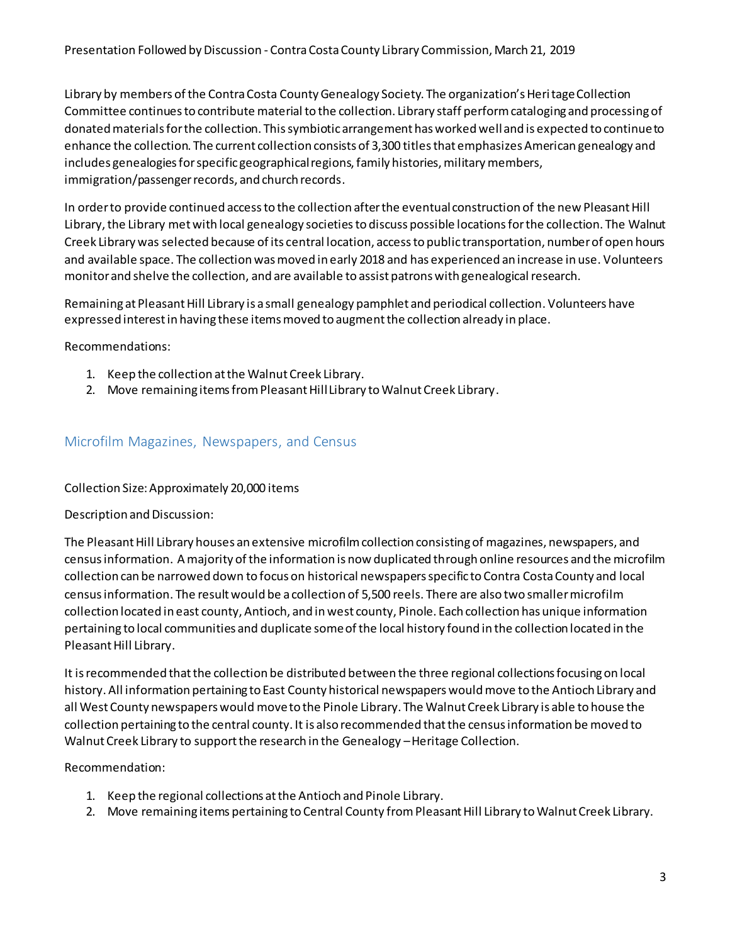Library by members of the Contra Costa County Genealogy Society. The organization's Heritage Collection Committee continues to contribute material to the collection. Library staff perform cataloging and processing of donated materials for the collection. This symbiotic arrangement has worked well and is expected to continue to enhance the collection. The current collection consists of 3,300 titles that emphasizes American genealogy and includes genealogies for specific geographical regions, family histories, military members, immigration/passenger records, and church records.

In order to provide continued access to the collection after the eventual construction of the new Pleasant Hill Library, the Library met with local genealogy societiesto discuss possible locations for the collection. The Walnut Creek Library was selected because of its central location, access to public transportation, number of open hours and available space. The collection was moved in early 2018 and has experienced an increase in use. Volunteers monitor and shelve the collection, and are available to assist patrons with genealogical research.

Remaining at Pleasant Hill Library is a small genealogy pamphlet and periodical collection. Volunteers have expressed interest in having these items moved to augment the collection already in place.

Recommendations:

- 1. Keep the collection at the Walnut Creek Library.
- 2. Move remaining items from Pleasant Hill Library to Walnut Creek Library.

## Microfilm Magazines, Newspapers, and Census

### Collection Size: Approximately 20,000 items

### Description and Discussion:

The Pleasant Hill Library houses an extensive microfilm collection consisting of magazines, newspapers, and census information. A majority of the information is now duplicated through online resources and the microfilm collection can be narrowed down to focus on historical newspapers specific to Contra Costa County and local census information. The result would be a collection of 5,500 reels. There are also two smaller microfilm collection located in east county, Antioch, and in west county, Pinole. Each collection has unique information pertaining to local communities and duplicate some of the local history found in the collection located in the Pleasant Hill Library.

It is recommended that the collection be distributed between the three regional collections focusing on local history. All information pertaining to East County historical newspapers would move to the Antioch Library and all West County newspapers would moveto the Pinole Library. The Walnut Creek Library is able to house the collection pertaining to the central county. It is also recommended that the census information be moved to Walnut Creek Library to support the research in the Genealogy –Heritage Collection.

### Recommendation:

- 1. Keep the regional collections at the Antioch and Pinole Library.
- 2. Move remaining items pertaining to Central County from Pleasant Hill Library to Walnut Creek Library.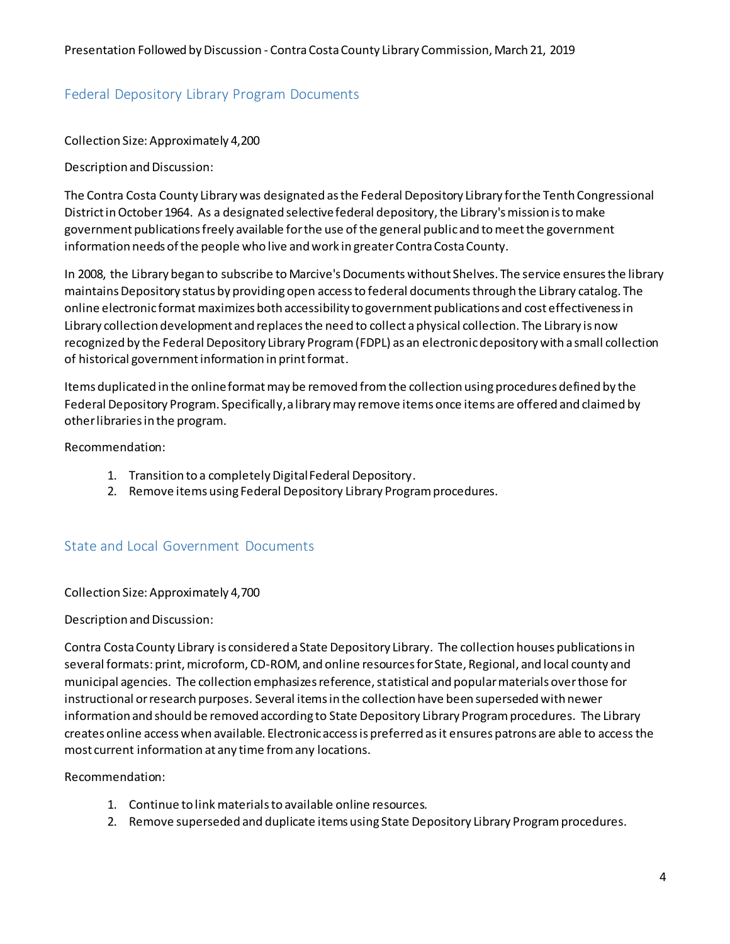## Federal Depository Library Program Documents

Collection Size: Approximately 4,200

Description and Discussion:

The Contra Costa County Library was designated as the Federal Depository Library for the Tenth Congressional District in October 1964. As a designated selective federal depository, the Library's mission is to make government publications freely available for the use of the general public and to meet the government information needs of the people who live and work in greater Contra Costa County.

In 2008, the Library began to subscribe to Marcive's Documents without Shelves. The service ensures the library maintainsDepository status by providing open access to federal documents through the Library catalog. The online electronic format maximizes both accessibility to government publications and cost effectiveness in Library collection development and replaces the need to collect aphysical collection. The Library is now recognized by the Federal Depository Library Program (FDPL) as an electronic depository with a small collection of historical government information in print format.

Items duplicated in the online format may be removed from the collection using procedures defined by the Federal Depository Program. Specifically, a library may remove items once items are offered and claimed by other libraries in the program.

Recommendation:

- 1. Transition to a completely Digital Federal Depository.
- 2. Remove items using Federal Depository Library Program procedures.

## State and Local Government Documents

Collection Size: Approximately 4,700

Description and Discussion:

Contra Costa County Library is considered a State Depository Library. The collection houses publications in several formats: print, microform, CD-ROM, and online resources for State, Regional, and local county and municipal agencies. The collection emphasizes reference, statistical and popular materials over those for instructional or research purposes. Several items in the collection have been superseded with newer information and should be removed according to State Depository Library Program procedures. The Library creates online access when available. Electronic access is preferred as it ensures patrons are able to access the most current information at any time from any locations.

Recommendation:

- 1. Continue to link materialsto available online resources.
- 2. Remove superseded and duplicate items using State Depository Library Program procedures.